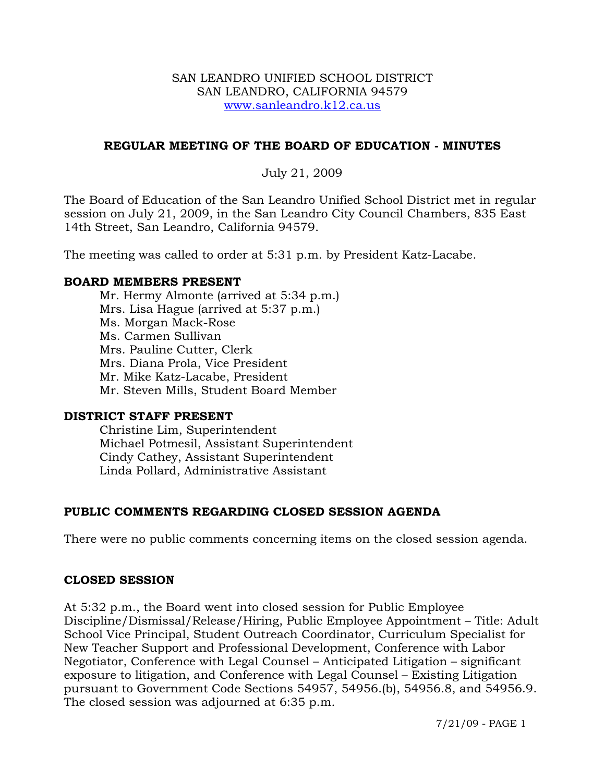#### SAN LEANDRO UNIFIED SCHOOL DISTRICT SAN LEANDRO, CALIFORNIA 94579 www.sanleandro.k12.ca.us

#### **REGULAR MEETING OF THE BOARD OF EDUCATION - MINUTES**

#### July 21, 2009

The Board of Education of the San Leandro Unified School District met in regular session on July 21, 2009, in the San Leandro City Council Chambers, 835 East 14th Street, San Leandro, California 94579.

The meeting was called to order at 5:31 p.m. by President Katz-Lacabe.

#### **BOARD MEMBERS PRESENT**

Mr. Hermy Almonte (arrived at 5:34 p.m.) Mrs. Lisa Hague (arrived at 5:37 p.m.) Ms. Morgan Mack-Rose Ms. Carmen Sullivan Mrs. Pauline Cutter, Clerk Mrs. Diana Prola, Vice President Mr. Mike Katz-Lacabe, President Mr. Steven Mills, Student Board Member

#### **DISTRICT STAFF PRESENT**

Christine Lim, Superintendent Michael Potmesil, Assistant Superintendent Cindy Cathey, Assistant Superintendent Linda Pollard, Administrative Assistant

#### **PUBLIC COMMENTS REGARDING CLOSED SESSION AGENDA**

There were no public comments concerning items on the closed session agenda.

#### **CLOSED SESSION**

At 5:32 p.m., the Board went into closed session for Public Employee Discipline/Dismissal/Release/Hiring, Public Employee Appointment – Title: Adult School Vice Principal, Student Outreach Coordinator, Curriculum Specialist for New Teacher Support and Professional Development, Conference with Labor Negotiator, Conference with Legal Counsel – Anticipated Litigation – significant exposure to litigation, and Conference with Legal Counsel – Existing Litigation pursuant to Government Code Sections 54957, 54956.(b), 54956.8, and 54956.9. The closed session was adjourned at 6:35 p.m.

7/21/09 - PAGE 1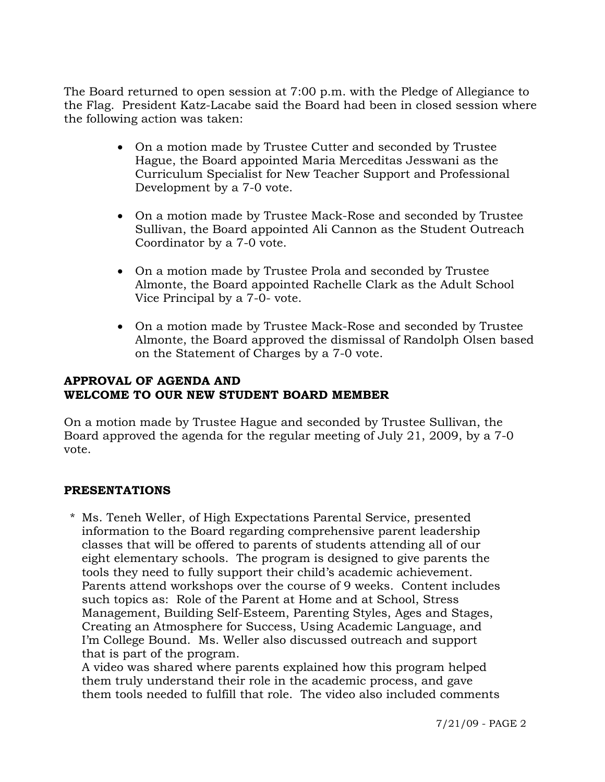The Board returned to open session at 7:00 p.m. with the Pledge of Allegiance to the Flag. President Katz-Lacabe said the Board had been in closed session where the following action was taken:

- On a motion made by Trustee Cutter and seconded by Trustee Hague, the Board appointed Maria Merceditas Jesswani as the Curriculum Specialist for New Teacher Support and Professional Development by a 7-0 vote.
- On a motion made by Trustee Mack-Rose and seconded by Trustee Sullivan, the Board appointed Ali Cannon as the Student Outreach Coordinator by a 7-0 vote.
- On a motion made by Trustee Prola and seconded by Trustee Almonte, the Board appointed Rachelle Clark as the Adult School Vice Principal by a 7-0- vote.
- On a motion made by Trustee Mack-Rose and seconded by Trustee Almonte, the Board approved the dismissal of Randolph Olsen based on the Statement of Charges by a 7-0 vote.

# **APPROVAL OF AGENDA AND WELCOME TO OUR NEW STUDENT BOARD MEMBER**

On a motion made by Trustee Hague and seconded by Trustee Sullivan, the Board approved the agenda for the regular meeting of July 21, 2009, by a 7-0 vote.

## **PRESENTATIONS**

\* Ms. Teneh Weller, of High Expectations Parental Service, presented information to the Board regarding comprehensive parent leadership classes that will be offered to parents of students attending all of our eight elementary schools. The program is designed to give parents the tools they need to fully support their child's academic achievement. Parents attend workshops over the course of 9 weeks. Content includes such topics as: Role of the Parent at Home and at School, Stress Management, Building Self-Esteem, Parenting Styles, Ages and Stages, Creating an Atmosphere for Success, Using Academic Language, and I'm College Bound. Ms. Weller also discussed outreach and support that is part of the program.

 A video was shared where parents explained how this program helped them truly understand their role in the academic process, and gave them tools needed to fulfill that role. The video also included comments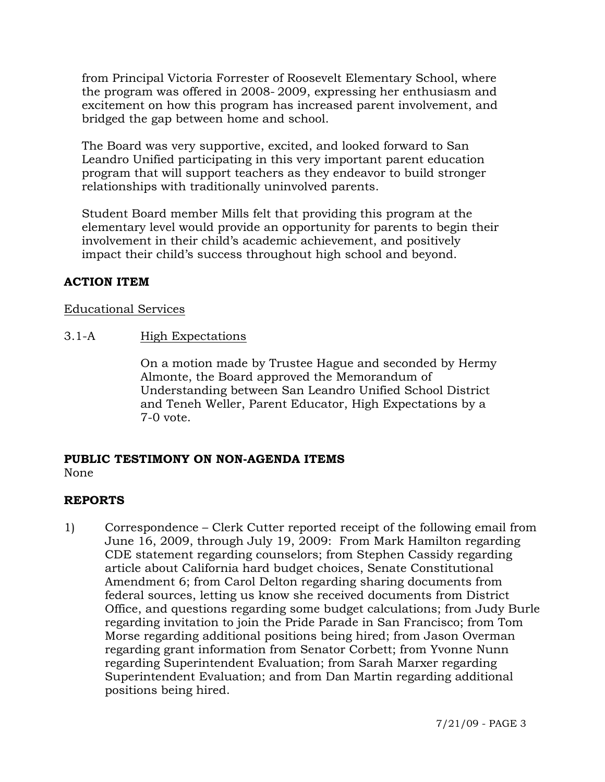from Principal Victoria Forrester of Roosevelt Elementary School, where the program was offered in 2008- 2009, expressing her enthusiasm and excitement on how this program has increased parent involvement, and bridged the gap between home and school.

 The Board was very supportive, excited, and looked forward to San Leandro Unified participating in this very important parent education program that will support teachers as they endeavor to build stronger relationships with traditionally uninvolved parents.

 Student Board member Mills felt that providing this program at the elementary level would provide an opportunity for parents to begin their involvement in their child's academic achievement, and positively impact their child's success throughout high school and beyond.

# **ACTION ITEM**

#### Educational Services

3.1-A High Expectations

On a motion made by Trustee Hague and seconded by Hermy Almonte, the Board approved the Memorandum of Understanding between San Leandro Unified School District and Teneh Weller, Parent Educator, High Expectations by a 7-0 vote.

#### **PUBLIC TESTIMONY ON NON-AGENDA ITEMS**  None

# **REPORTS**

1) Correspondence – Clerk Cutter reported receipt of the following email from June 16, 2009, through July 19, 2009: From Mark Hamilton regarding CDE statement regarding counselors; from Stephen Cassidy regarding article about California hard budget choices, Senate Constitutional Amendment 6; from Carol Delton regarding sharing documents from federal sources, letting us know she received documents from District Office, and questions regarding some budget calculations; from Judy Burle regarding invitation to join the Pride Parade in San Francisco; from Tom Morse regarding additional positions being hired; from Jason Overman regarding grant information from Senator Corbett; from Yvonne Nunn regarding Superintendent Evaluation; from Sarah Marxer regarding Superintendent Evaluation; and from Dan Martin regarding additional positions being hired.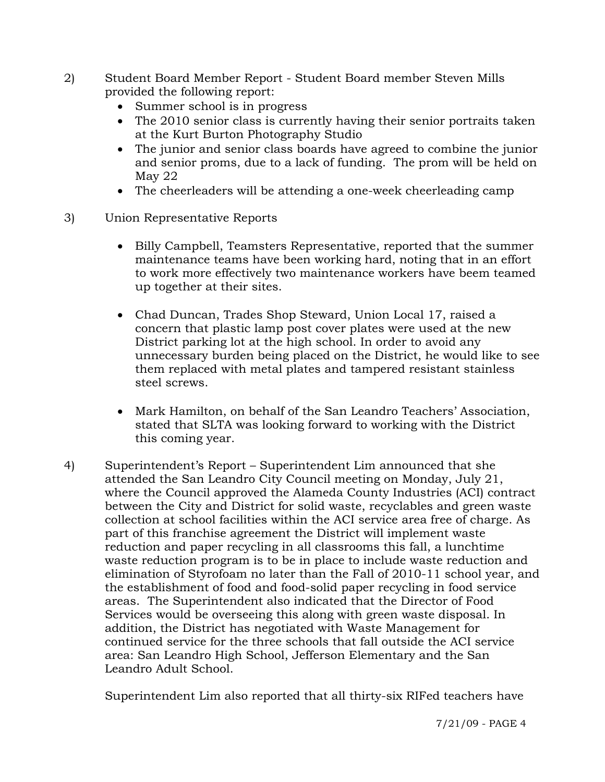- 2) Student Board Member Report Student Board member Steven Mills provided the following report:
	- Summer school is in progress
	- The 2010 senior class is currently having their senior portraits taken at the Kurt Burton Photography Studio
	- The junior and senior class boards have agreed to combine the junior and senior proms, due to a lack of funding. The prom will be held on May 22
	- The cheerleaders will be attending a one-week cheerleading camp
- 3) Union Representative Reports
	- Billy Campbell, Teamsters Representative, reported that the summer maintenance teams have been working hard, noting that in an effort to work more effectively two maintenance workers have beem teamed up together at their sites.
	- Chad Duncan, Trades Shop Steward, Union Local 17, raised a concern that plastic lamp post cover plates were used at the new District parking lot at the high school. In order to avoid any unnecessary burden being placed on the District, he would like to see them replaced with metal plates and tampered resistant stainless steel screws.
	- Mark Hamilton, on behalf of the San Leandro Teachers' Association, stated that SLTA was looking forward to working with the District this coming year.
- 4) Superintendent's Report Superintendent Lim announced that she attended the San Leandro City Council meeting on Monday, July 21, where the Council approved the Alameda County Industries (ACI) contract between the City and District for solid waste, recyclables and green waste collection at school facilities within the ACI service area free of charge. As part of this franchise agreement the District will implement waste reduction and paper recycling in all classrooms this fall, a lunchtime waste reduction program is to be in place to include waste reduction and elimination of Styrofoam no later than the Fall of 2010-11 school year, and the establishment of food and food-solid paper recycling in food service areas. The Superintendent also indicated that the Director of Food Services would be overseeing this along with green waste disposal. In addition, the District has negotiated with Waste Management for continued service for the three schools that fall outside the ACI service area: San Leandro High School, Jefferson Elementary and the San Leandro Adult School.

Superintendent Lim also reported that all thirty-six RIFed teachers have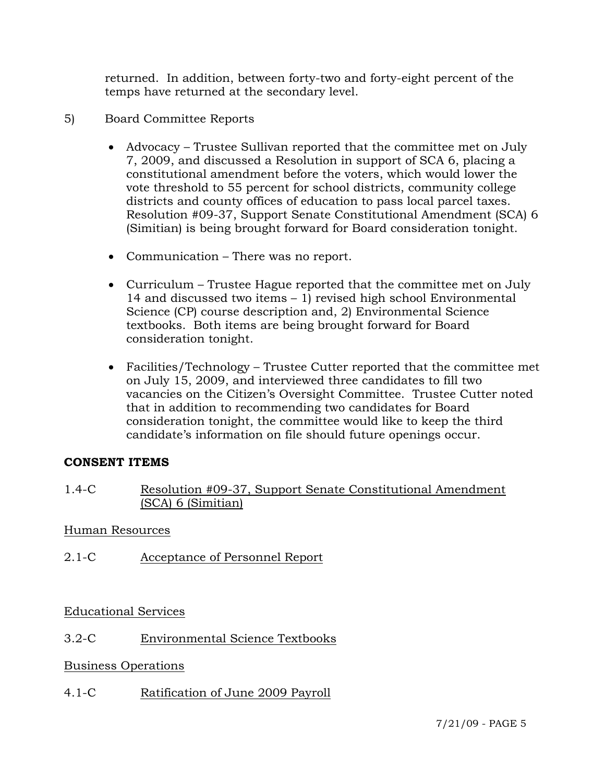returned. In addition, between forty-two and forty-eight percent of the temps have returned at the secondary level.

- 5) Board Committee Reports
	- Advocacy Trustee Sullivan reported that the committee met on July 7, 2009, and discussed a Resolution in support of SCA 6, placing a constitutional amendment before the voters, which would lower the vote threshold to 55 percent for school districts, community college districts and county offices of education to pass local parcel taxes. Resolution #09-37, Support Senate Constitutional Amendment (SCA) 6 (Simitian) is being brought forward for Board consideration tonight.
	- Communication There was no report.
	- Curriculum Trustee Hague reported that the committee met on July 14 and discussed two items – 1) revised high school Environmental Science (CP) course description and, 2) Environmental Science textbooks. Both items are being brought forward for Board consideration tonight.
	- Facilities/Technology Trustee Cutter reported that the committee met on July 15, 2009, and interviewed three candidates to fill two vacancies on the Citizen's Oversight Committee. Trustee Cutter noted that in addition to recommending two candidates for Board consideration tonight, the committee would like to keep the third candidate's information on file should future openings occur.

## **CONSENT ITEMS**

1.4-C Resolution #09-37, Support Senate Constitutional Amendment (SCA) 6 (Simitian)

## Human Resources

2.1-C Acceptance of Personnel Report

Educational Services

# 3.2-C Environmental Science Textbooks

## Business Operations

4.1-C Ratification of June 2009 Payroll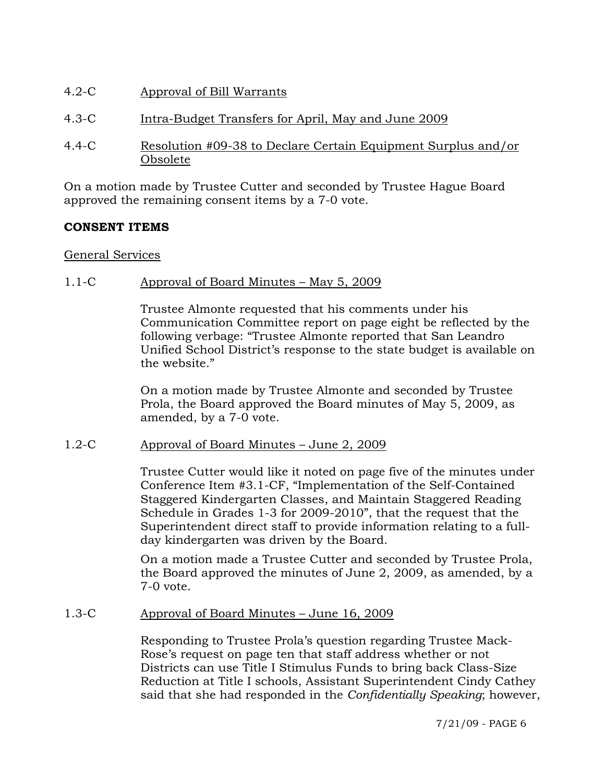- 4.2-C Approval of Bill Warrants
- 4.3-C Intra-Budget Transfers for April, May and June 2009
- 4.4-C Resolution #09-38 to Declare Certain Equipment Surplus and/or Obsolete

On a motion made by Trustee Cutter and seconded by Trustee Hague Board approved the remaining consent items by a 7-0 vote.

# **CONSENT ITEMS**

## General Services

## 1.1-C Approval of Board Minutes – May 5, 2009

Trustee Almonte requested that his comments under his Communication Committee report on page eight be reflected by the following verbage: "Trustee Almonte reported that San Leandro Unified School District's response to the state budget is available on the website."

On a motion made by Trustee Almonte and seconded by Trustee Prola, the Board approved the Board minutes of May 5, 2009, as amended, by a 7-0 vote.

## 1.2-C Approval of Board Minutes – June 2, 2009

Trustee Cutter would like it noted on page five of the minutes under Conference Item #3.1-CF, "Implementation of the Self-Contained Staggered Kindergarten Classes, and Maintain Staggered Reading Schedule in Grades 1-3 for 2009-2010", that the request that the Superintendent direct staff to provide information relating to a fullday kindergarten was driven by the Board.

On a motion made a Trustee Cutter and seconded by Trustee Prola, the Board approved the minutes of June 2, 2009, as amended, by a 7-0 vote.

## 1.3-C Approval of Board Minutes – June 16, 2009

Responding to Trustee Prola's question regarding Trustee Mack-Rose's request on page ten that staff address whether or not Districts can use Title I Stimulus Funds to bring back Class-Size Reduction at Title I schools, Assistant Superintendent Cindy Cathey said that she had responded in the *Confidentially Speaking*; however,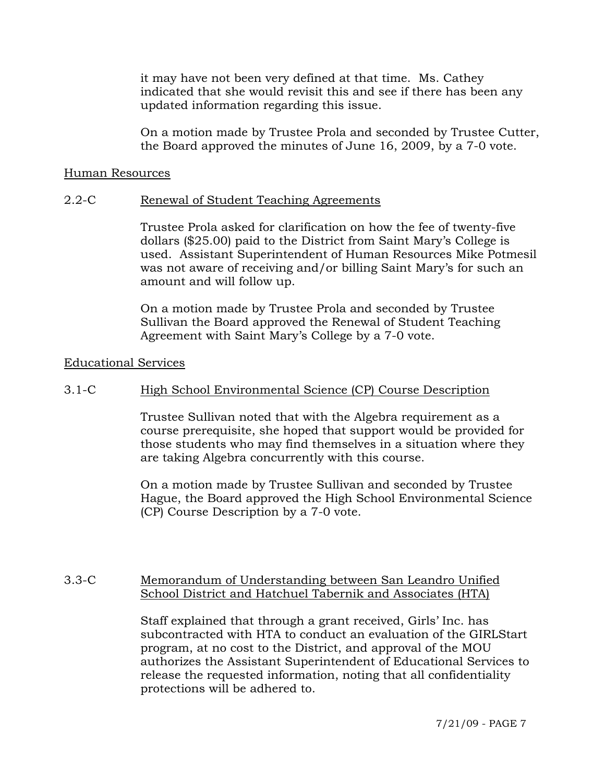it may have not been very defined at that time. Ms. Cathey indicated that she would revisit this and see if there has been any updated information regarding this issue.

On a motion made by Trustee Prola and seconded by Trustee Cutter, the Board approved the minutes of June 16, 2009, by a 7-0 vote.

#### Human Resources

#### 2.2-C Renewal of Student Teaching Agreements

Trustee Prola asked for clarification on how the fee of twenty-five dollars (\$25.00) paid to the District from Saint Mary's College is used. Assistant Superintendent of Human Resources Mike Potmesil was not aware of receiving and/or billing Saint Mary's for such an amount and will follow up.

On a motion made by Trustee Prola and seconded by Trustee Sullivan the Board approved the Renewal of Student Teaching Agreement with Saint Mary's College by a 7-0 vote.

#### Educational Services

#### 3.1-C High School Environmental Science (CP) Course Description

Trustee Sullivan noted that with the Algebra requirement as a course prerequisite, she hoped that support would be provided for those students who may find themselves in a situation where they are taking Algebra concurrently with this course.

On a motion made by Trustee Sullivan and seconded by Trustee Hague, the Board approved the High School Environmental Science (CP) Course Description by a 7-0 vote.

## 3.3-C Memorandum of Understanding between San Leandro Unified School District and Hatchuel Tabernik and Associates (HTA)

Staff explained that through a grant received, Girls' Inc. has subcontracted with HTA to conduct an evaluation of the GIRLStart program, at no cost to the District, and approval of the MOU authorizes the Assistant Superintendent of Educational Services to release the requested information, noting that all confidentiality protections will be adhered to.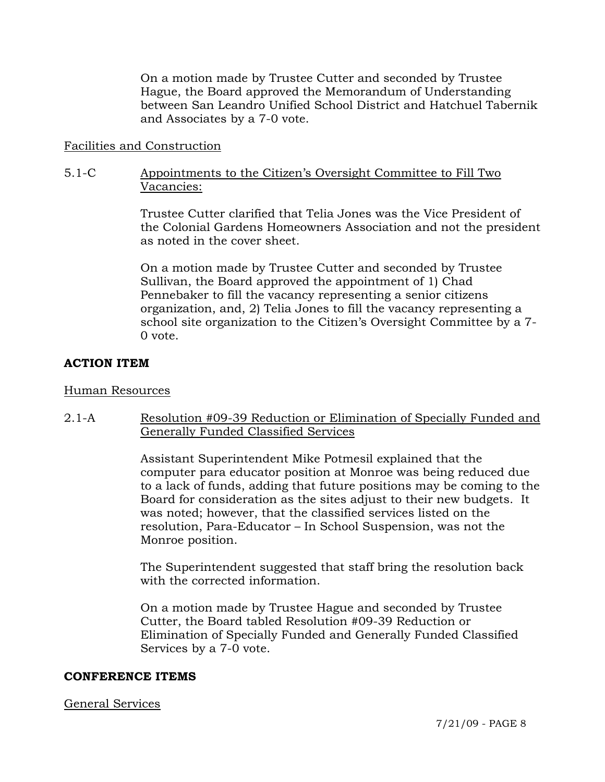On a motion made by Trustee Cutter and seconded by Trustee Hague, the Board approved the Memorandum of Understanding between San Leandro Unified School District and Hatchuel Tabernik and Associates by a 7-0 vote.

### Facilities and Construction

#### 5.1-C Appointments to the Citizen's Oversight Committee to Fill Two Vacancies:

Trustee Cutter clarified that Telia Jones was the Vice President of the Colonial Gardens Homeowners Association and not the president as noted in the cover sheet.

On a motion made by Trustee Cutter and seconded by Trustee Sullivan, the Board approved the appointment of 1) Chad Pennebaker to fill the vacancy representing a senior citizens organization, and, 2) Telia Jones to fill the vacancy representing a school site organization to the Citizen's Oversight Committee by a 7- 0 vote.

#### **ACTION ITEM**

#### Human Resources

2.1-A Resolution #09-39 Reduction or Elimination of Specially Funded and Generally Funded Classified Services

> Assistant Superintendent Mike Potmesil explained that the computer para educator position at Monroe was being reduced due to a lack of funds, adding that future positions may be coming to the Board for consideration as the sites adjust to their new budgets. It was noted; however, that the classified services listed on the resolution, Para-Educator – In School Suspension, was not the Monroe position.

The Superintendent suggested that staff bring the resolution back with the corrected information.

On a motion made by Trustee Hague and seconded by Trustee Cutter, the Board tabled Resolution #09-39 Reduction or Elimination of Specially Funded and Generally Funded Classified Services by a 7-0 vote.

#### **CONFERENCE ITEMS**

#### General Services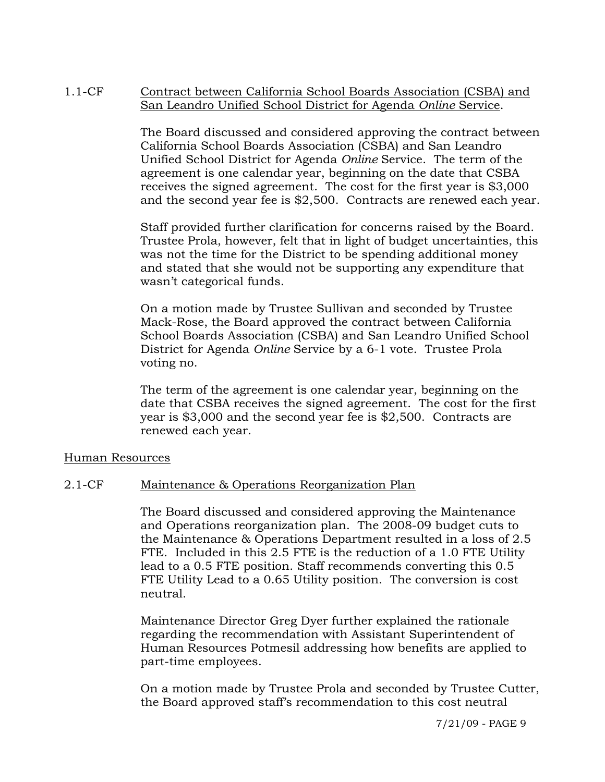### 1.1-CF Contract between California School Boards Association (CSBA) and San Leandro Unified School District for Agenda *Online* Service.

The Board discussed and considered approving the contract between California School Boards Association (CSBA) and San Leandro Unified School District for Agenda *Online* Service. The term of the agreement is one calendar year, beginning on the date that CSBA receives the signed agreement. The cost for the first year is \$3,000 and the second year fee is \$2,500. Contracts are renewed each year.

Staff provided further clarification for concerns raised by the Board. Trustee Prola, however, felt that in light of budget uncertainties, this was not the time for the District to be spending additional money and stated that she would not be supporting any expenditure that wasn't categorical funds.

On a motion made by Trustee Sullivan and seconded by Trustee Mack-Rose, the Board approved the contract between California School Boards Association (CSBA) and San Leandro Unified School District for Agenda *Online* Service by a 6-1 vote. Trustee Prola voting no.

The term of the agreement is one calendar year, beginning on the date that CSBA receives the signed agreement. The cost for the first year is \$3,000 and the second year fee is \$2,500. Contracts are renewed each year.

#### Human Resources

## 2.1-CF Maintenance & Operations Reorganization Plan

The Board discussed and considered approving the Maintenance and Operations reorganization plan. The 2008-09 budget cuts to the Maintenance & Operations Department resulted in a loss of 2.5 FTE. Included in this 2.5 FTE is the reduction of a 1.0 FTE Utility lead to a 0.5 FTE position. Staff recommends converting this 0.5 FTE Utility Lead to a 0.65 Utility position. The conversion is cost neutral.

Maintenance Director Greg Dyer further explained the rationale regarding the recommendation with Assistant Superintendent of Human Resources Potmesil addressing how benefits are applied to part-time employees.

On a motion made by Trustee Prola and seconded by Trustee Cutter, the Board approved staff's recommendation to this cost neutral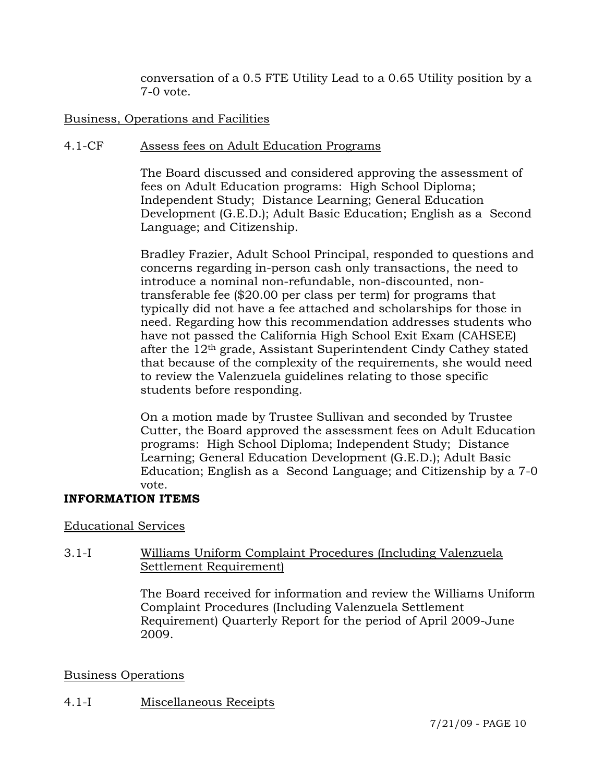conversation of a 0.5 FTE Utility Lead to a 0.65 Utility position by a 7-0 vote.

# Business, Operations and Facilities

## 4.1-CF Assess fees on Adult Education Programs

The Board discussed and considered approving the assessment of fees on Adult Education programs: High School Diploma; Independent Study; Distance Learning; General Education Development (G.E.D.); Adult Basic Education; English as a Second Language; and Citizenship.

Bradley Frazier, Adult School Principal, responded to questions and concerns regarding in-person cash only transactions, the need to introduce a nominal non-refundable, non-discounted, nontransferable fee (\$20.00 per class per term) for programs that typically did not have a fee attached and scholarships for those in need. Regarding how this recommendation addresses students who have not passed the California High School Exit Exam (CAHSEE) after the 12th grade, Assistant Superintendent Cindy Cathey stated that because of the complexity of the requirements, she would need to review the Valenzuela guidelines relating to those specific students before responding.

On a motion made by Trustee Sullivan and seconded by Trustee Cutter, the Board approved the assessment fees on Adult Education programs: High School Diploma; Independent Study; Distance Learning; General Education Development (G.E.D.); Adult Basic Education; English as a Second Language; and Citizenship by a 7-0 vote.

## **INFORMATION ITEMS**

## Educational Services

# 3.1-I Williams Uniform Complaint Procedures (Including Valenzuela Settlement Requirement)

The Board received for information and review the Williams Uniform Complaint Procedures (Including Valenzuela Settlement Requirement) Quarterly Report for the period of April 2009-June 2009.

## Business Operations

## 4.1-I Miscellaneous Receipts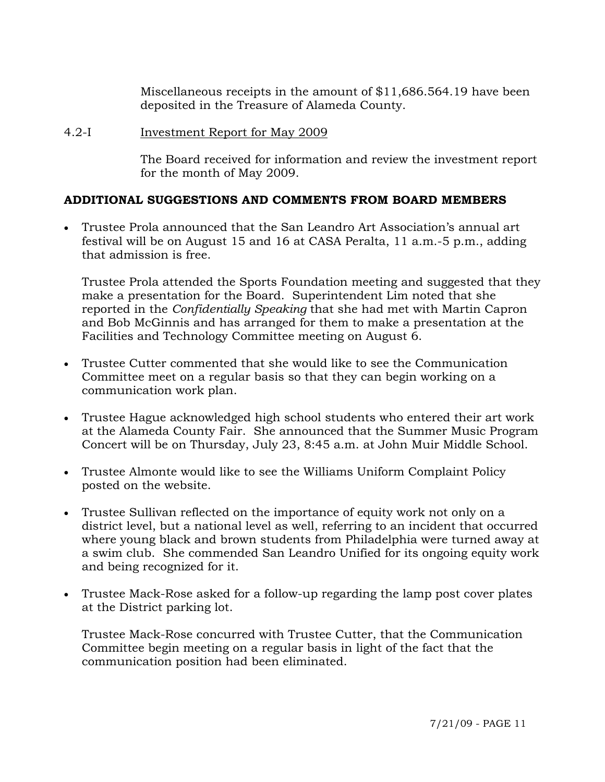Miscellaneous receipts in the amount of \$11,686.564.19 have been deposited in the Treasure of Alameda County.

### 4.2-I Investment Report for May 2009

The Board received for information and review the investment report for the month of May 2009.

# **ADDITIONAL SUGGESTIONS AND COMMENTS FROM BOARD MEMBERS**

• Trustee Prola announced that the San Leandro Art Association's annual art festival will be on August 15 and 16 at CASA Peralta, 11 a.m.-5 p.m., adding that admission is free.

Trustee Prola attended the Sports Foundation meeting and suggested that they make a presentation for the Board. Superintendent Lim noted that she reported in the *Confidentially Speaking* that she had met with Martin Capron and Bob McGinnis and has arranged for them to make a presentation at the Facilities and Technology Committee meeting on August 6.

- Trustee Cutter commented that she would like to see the Communication Committee meet on a regular basis so that they can begin working on a communication work plan.
- Trustee Hague acknowledged high school students who entered their art work at the Alameda County Fair. She announced that the Summer Music Program Concert will be on Thursday, July 23, 8:45 a.m. at John Muir Middle School.
- Trustee Almonte would like to see the Williams Uniform Complaint Policy posted on the website.
- Trustee Sullivan reflected on the importance of equity work not only on a district level, but a national level as well, referring to an incident that occurred where young black and brown students from Philadelphia were turned away at a swim club. She commended San Leandro Unified for its ongoing equity work and being recognized for it.
- Trustee Mack-Rose asked for a follow-up regarding the lamp post cover plates at the District parking lot.

Trustee Mack-Rose concurred with Trustee Cutter, that the Communication Committee begin meeting on a regular basis in light of the fact that the communication position had been eliminated.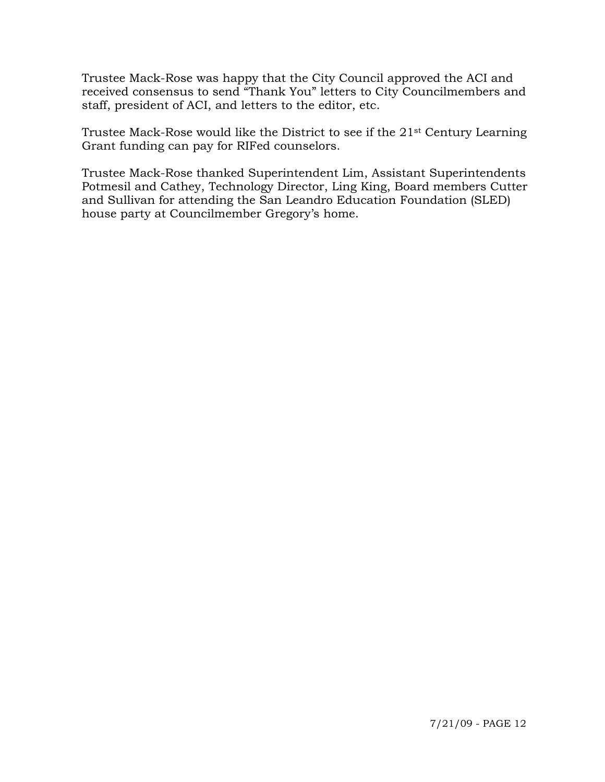Trustee Mack-Rose was happy that the City Council approved the ACI and received consensus to send "Thank You" letters to City Councilmembers and staff, president of ACI, and letters to the editor, etc.

Trustee Mack-Rose would like the District to see if the 21st Century Learning Grant funding can pay for RIFed counselors.

Trustee Mack-Rose thanked Superintendent Lim, Assistant Superintendents Potmesil and Cathey, Technology Director, Ling King, Board members Cutter and Sullivan for attending the San Leandro Education Foundation (SLED) house party at Councilmember Gregory's home.